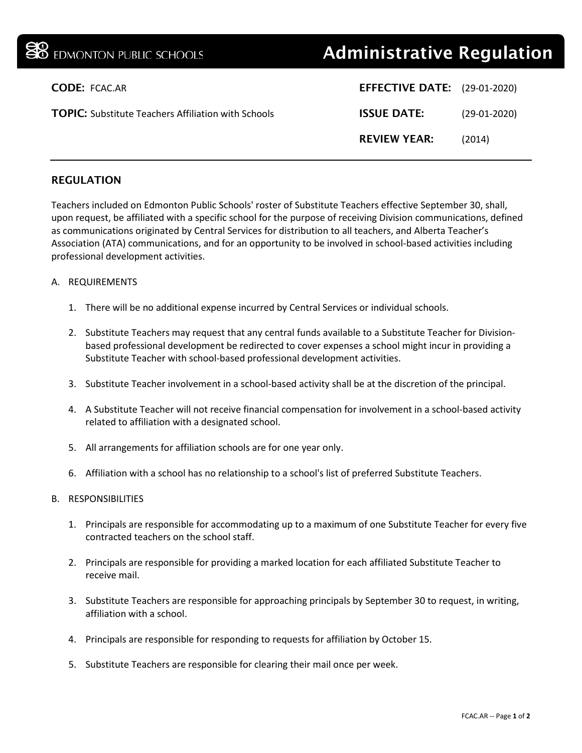|                      | <b>38</b> EDMONTON PUBLIC SCHOOLS                          | <b>Administrative Regulation</b>    |                |
|----------------------|------------------------------------------------------------|-------------------------------------|----------------|
| <b>CODE: FCAC.AR</b> |                                                            | <b>EFFECTIVE DATE:</b> (29-01-2020) |                |
|                      | <b>TOPIC:</b> Substitute Teachers Affiliation with Schools | <b>ISSUE DATE:</b>                  | $(29-01-2020)$ |
|                      |                                                            | <b>REVIEW YEAR:</b>                 | (2014)         |
|                      |                                                            |                                     |                |

## REGULATION

Teachers included on Edmonton Public Schools' roster of Substitute Teachers effective September 30, shall, upon request, be affiliated with a specific school for the purpose of receiving Division communications, defined as communications originated by Central Services for distribution to all teachers, and Alberta Teacher's Association (ATA) communications, and for an opportunity to be involved in school-based activities including professional development activities.

## A. REQUIREMENTS

- 1. There will be no additional expense incurred by Central Services or individual schools.
- 2. Substitute Teachers may request that any central funds available to a Substitute Teacher for Divisionbased professional development be redirected to cover expenses a school might incur in providing a Substitute Teacher with school-based professional development activities.
- 3. Substitute Teacher involvement in a school-based activity shall be at the discretion of the principal.
- 4. A Substitute Teacher will not receive financial compensation for involvement in a school-based activity related to affiliation with a designated school.
- 5. All arrangements for affiliation schools are for one year only.
- 6. Affiliation with a school has no relationship to a school's list of preferred Substitute Teachers.

## B. RESPONSIBILITIES

- 1. Principals are responsible for accommodating up to a maximum of one Substitute Teacher for every five contracted teachers on the school staff.
- 2. Principals are responsible for providing a marked location for each affiliated Substitute Teacher to receive mail.
- 3. Substitute Teachers are responsible for approaching principals by September 30 to request, in writing, affiliation with a school.
- 4. Principals are responsible for responding to requests for affiliation by October 15.
- 5. Substitute Teachers are responsible for clearing their mail once per week.